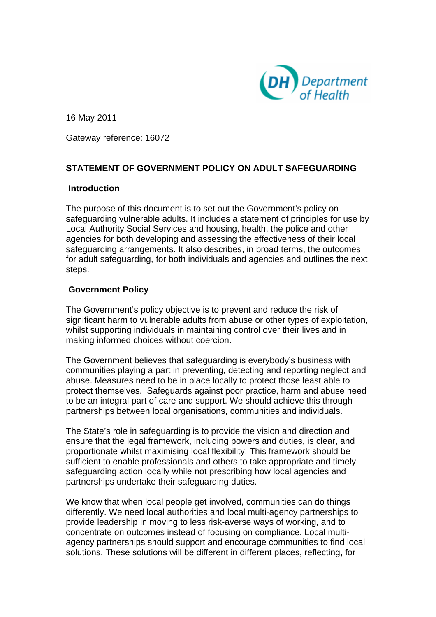

16 May 2011

Gateway reference: 16072

# **STATEMENT OF GOVERNMENT POLICY ON ADULT SAFEGUARDING**

## **Introduction**

The purpose of this document is to set out the Government's policy on safeguarding vulnerable adults. It includes a statement of principles for use by Local Authority Social Services and housing, health, the police and other agencies for both developing and assessing the effectiveness of their local safeguarding arrangements. It also describes, in broad terms, the outcomes for adult safeguarding, for both individuals and agencies and outlines the next steps.

# **Government Policy**

The Government's policy objective is to prevent and reduce the risk of significant harm to vulnerable adults from abuse or other types of exploitation, whilst supporting individuals in maintaining control over their lives and in making informed choices without coercion.

The Government believes that safeguarding is everybody's business with communities playing a part in preventing, detecting and reporting neglect and abuse. Measures need to be in place locally to protect those least able to protect themselves. Safeguards against poor practice, harm and abuse need to be an integral part of care and support. We should achieve this through partnerships between local organisations, communities and individuals.

The State's role in safeguarding is to provide the vision and direction and ensure that the legal framework, including powers and duties, is clear, and proportionate whilst maximising local flexibility. This framework should be sufficient to enable professionals and others to take appropriate and timely safeguarding action locally while not prescribing how local agencies and partnerships undertake their safeguarding duties.

We know that when local people get involved, communities can do things differently. We need local authorities and local multi-agency partnerships to provide leadership in moving to less risk-averse ways of working, and to concentrate on outcomes instead of focusing on compliance. Local multiagency partnerships should support and encourage communities to find local solutions. These solutions will be different in different places, reflecting, for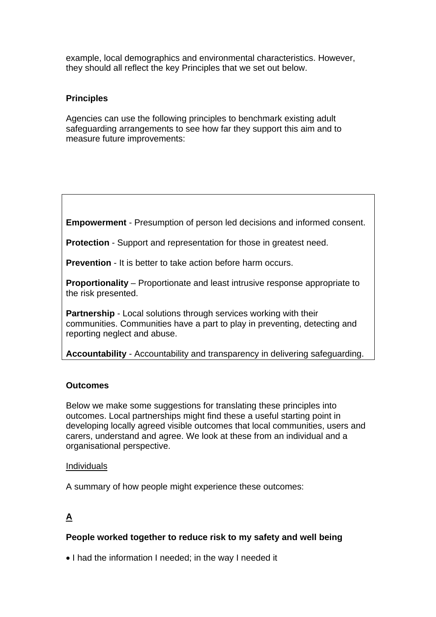example, local demographics and environmental characteristics. However, they should all reflect the key Principles that we set out below.

# **Principles**

Agencies can use the following principles to benchmark existing adult safeguarding arrangements to see how far they support this aim and to measure future improvements:

**Empowerment** - Presumption of person led decisions and informed consent.

**Protection** - Support and representation for those in greatest need.

**Prevention** - It is better to take action before harm occurs.

**Proportionality** – Proportionate and least intrusive response appropriate to the risk presented.

**Partnership** - Local solutions through services working with their communities. Communities have a part to play in preventing, detecting and reporting neglect and abuse.

**Accountability** - Accountability and transparency in delivering safeguarding.

# **Outcomes**

Below we make some suggestions for translating these principles into outcomes. Local partnerships might find these a useful starting point in developing locally agreed visible outcomes that local communities, users and carers, understand and agree. We look at these from an individual and a organisational perspective.

## Individuals

A summary of how people might experience these outcomes:

# **A**

# **People worked together to reduce risk to my safety and well being**

• I had the information I needed; in the way I needed it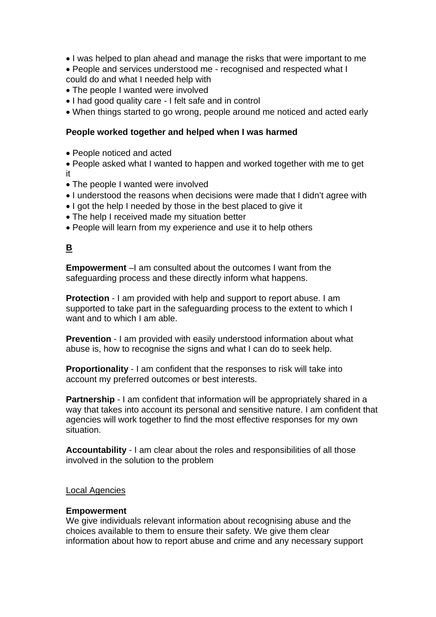- I was helped to plan ahead and manage the risks that were important to me
- People and services understood me recognised and respected what I could do and what I needed help with
- The people I wanted were involved
- I had good quality care I felt safe and in control
- When things started to go wrong, people around me noticed and acted early

## **People worked together and helped when I was harmed**

• People noticed and acted

• People asked what I wanted to happen and worked together with me to get it

- The people I wanted were involved
- I understood the reasons when decisions were made that I didn't agree with
- I got the help I needed by those in the best placed to give it
- The help I received made my situation better
- People will learn from my experience and use it to help others

# **B**

**Empowerment** –I am consulted about the outcomes I want from the safeguarding process and these directly inform what happens.

**Protection** - I am provided with help and support to report abuse. I am supported to take part in the safeguarding process to the extent to which I want and to which I am able.

**Prevention** - I am provided with easily understood information about what abuse is, how to recognise the signs and what I can do to seek help.

**Proportionality** - I am confident that the responses to risk will take into account my preferred outcomes or best interests.

**Partnership** - I am confident that information will be appropriately shared in a way that takes into account its personal and sensitive nature. I am confident that agencies will work together to find the most effective responses for my own situation.

**Accountability** - I am clear about the roles and responsibilities of all those involved in the solution to the problem

## Local Agencies

#### **Empowerment**

We give individuals relevant information about recognising abuse and the choices available to them to ensure their safety. We give them clear information about how to report abuse and crime and any necessary support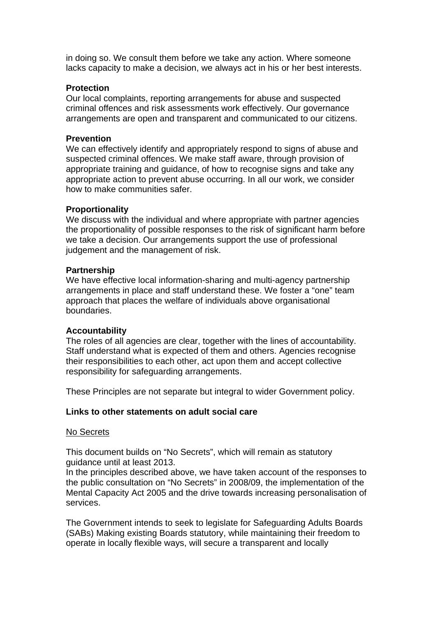in doing so. We consult them before we take any action. Where someone lacks capacity to make a decision, we always act in his or her best interests.

### **Protection**

Our local complaints, reporting arrangements for abuse and suspected criminal offences and risk assessments work effectively. Our governance arrangements are open and transparent and communicated to our citizens.

#### **Prevention**

We can effectively identify and appropriately respond to signs of abuse and suspected criminal offences. We make staff aware, through provision of appropriate training and guidance, of how to recognise signs and take any appropriate action to prevent abuse occurring. In all our work, we consider how to make communities safer.

### **Proportionality**

We discuss with the individual and where appropriate with partner agencies the proportionality of possible responses to the risk of significant harm before we take a decision. Our arrangements support the use of professional judgement and the management of risk.

### **Partnership**

We have effective local information-sharing and multi-agency partnership arrangements in place and staff understand these. We foster a "one" team approach that places the welfare of individuals above organisational boundaries.

## **Accountability**

The roles of all agencies are clear, together with the lines of accountability. Staff understand what is expected of them and others. Agencies recognise their responsibilities to each other, act upon them and accept collective responsibility for safeguarding arrangements.

These Principles are not separate but integral to wider Government policy.

#### **Links to other statements on adult social care**

#### No Secrets

This document builds on "No Secrets", which will remain as statutory guidance until at least 2013.

In the principles described above, we have taken account of the responses to the public consultation on "No Secrets" in 2008/09, the implementation of the Mental Capacity Act 2005 and the drive towards increasing personalisation of services.

The Government intends to seek to legislate for Safeguarding Adults Boards (SABs) Making existing Boards statutory, while maintaining their freedom to operate in locally flexible ways, will secure a transparent and locally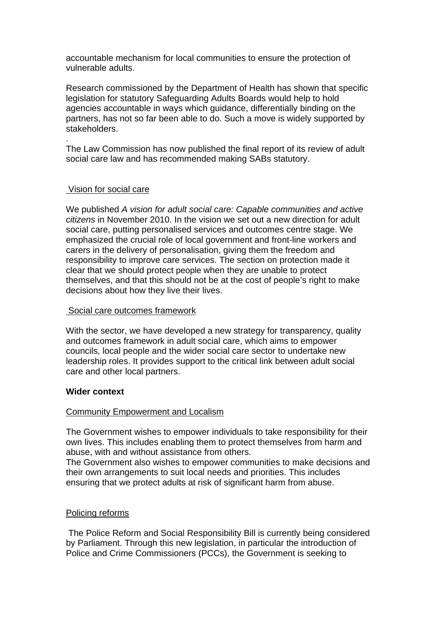accountable mechanism for local communities to ensure the protection of vulnerable adults.

Research commissioned by the Department of Health has shown that specific legislation for statutory Safeguarding Adults Boards would help to hold agencies accountable in ways which guidance, differentially binding on the partners, has not so far been able to do. Such a move is widely supported by stakeholders.

The Law Commission has now published the final report of its review of adult social care law and has recommended making SABs statutory.

## Vision for social care

.

We published *A vision for adult social care: Capable communities and active citizens* in November 2010. In the vision we set out a new direction for adult social care, putting personalised services and outcomes centre stage. We emphasized the crucial role of local government and front-line workers and carers in the delivery of personalisation, giving them the freedom and responsibility to improve care services. The section on protection made it clear that we should protect people when they are unable to protect themselves, and that this should not be at the cost of people's right to make decisions about how they live their lives.

#### Social care outcomes framework

With the sector, we have developed a new strategy for transparency, quality and outcomes framework in adult social care, which aims to empower councils, local people and the wider social care sector to undertake new leadership roles. It provides support to the critical link between adult social care and other local partners.

#### **Wider context**

#### Community Empowerment and Localism

The Government wishes to empower individuals to take responsibility for their own lives. This includes enabling them to protect themselves from harm and abuse, with and without assistance from others.

The Government also wishes to empower communities to make decisions and their own arrangements to suit local needs and priorities. This includes ensuring that we protect adults at risk of significant harm from abuse.

#### Policing reforms

 The Police Reform and Social Responsibility Bill is currently being considered by Parliament. Through this new legislation, in particular the introduction of Police and Crime Commissioners (PCCs), the Government is seeking to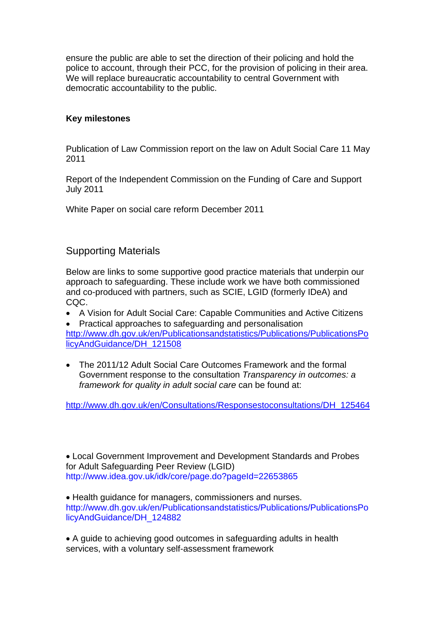ensure the public are able to set the direction of their policing and hold the police to account, through their PCC, for the provision of policing in their area. We will replace bureaucratic accountability to central Government with democratic accountability to the public.

## **Key milestones**

Publication of Law Commission report on the law on Adult Social Care 11 May 2011

Report of the Independent Commission on the Funding of Care and Support July 2011

White Paper on social care reform December 2011

# Supporting Materials

Below are links to some supportive good practice materials that underpin our approach to safeguarding. These include work we have both commissioned and co-produced with partners, such as SCIE, LGID (formerly IDeA) and CQC.

• A Vision for Adult Social Care: Capable Communities and Active Citizens

• Practical approaches to safeguarding and personalisation [http://www.dh.gov.uk/en/Publicationsandstatistics/Publications/PublicationsPo](http://www.dh.gov.uk/en/Publicationsandstatistics/Publications/PublicationsPolicyAndGuidance/DH_121508) [licyAndGuidance/DH\\_121508](http://www.dh.gov.uk/en/Publicationsandstatistics/Publications/PublicationsPolicyAndGuidance/DH_121508)

• The 2011/12 Adult Social Care Outcomes Framework and the formal Government response to the consultation *Transparency in outcomes: a framework for quality in adult social care* can be found at:

[http://www.dh.gov.uk/en/Consultations/Responsestoconsultations/DH\\_125464](http://www.dh.gov.uk/en/Consultations/Responsestoconsultations/DH_125464)

• Local Government Improvement and Development Standards and Probes for Adult Safeguarding Peer Review (LGID) http://www.idea.gov.uk/idk/core/page.do?pageId=22653865

• Health guidance for managers, commissioners and nurses. http://www.dh.gov.uk/en/Publicationsandstatistics/Publications/PublicationsPo licyAndGuidance/DH\_124882

• A guide to achieving good outcomes in safeguarding adults in health services, with a voluntary self-assessment framework